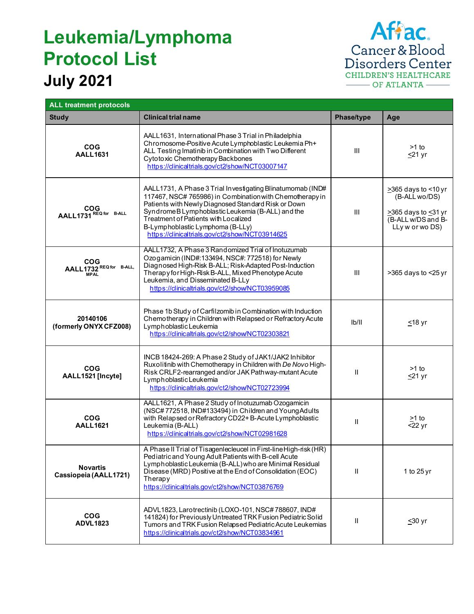## **July 2021 Leukemia/Lymphoma Protocol List**



| <b>ALL treatment protocols</b>                       |                                                                                                                                                                                                                                                                                                                                                                |                |                                                                                                      |
|------------------------------------------------------|----------------------------------------------------------------------------------------------------------------------------------------------------------------------------------------------------------------------------------------------------------------------------------------------------------------------------------------------------------------|----------------|------------------------------------------------------------------------------------------------------|
| <b>Study</b>                                         | <b>Clinical trial name</b>                                                                                                                                                                                                                                                                                                                                     | Phase/type     | Age                                                                                                  |
| <b>COG</b><br><b>AALL1631</b>                        | AALL1631, International Phase 3 Trial in Philadelphia<br>Chromosome-Positive Acute Lymphoblastic Leukemia Ph+<br>ALL Testing Imatinib in Combination with Two Different<br>Cytotoxic Chemotherapy Backbones<br>https://clinicaltrials.gov/ct2/show/NCT03007147                                                                                                 | Ш              | $>1$ to<br>≤21 yr                                                                                    |
| COG<br>AALL1731 REQ for B-ALL                        | AALL1731, A Phase 3 Trial Investigating Blinatumomab (IND#<br>117467, NSC# 765986) in Combination with Chemotherapy in<br>Patients with Newly Diagnosed Standard Risk or Down<br>SyndromeBLymphoblasticLeukemia (B-ALL) and the<br>Treatment of Patients with Localized<br>B-Lymphoblastic Lymphoma (B-LLy)<br>https://clinicaltrials.gov/ct2/show/NCT03914625 | $\mathbf{III}$ | >365 days to <10 yr<br>(B-ALL wo/DS)<br>≥365 days to ≤31 yr<br>(B-ALL w/DS and B-<br>LLy w or wo DS) |
| <b>COG</b><br>AALL1732 REQ for B-ALL,<br><b>MPAL</b> | AALL1732, A Phase 3 Randomized Trial of Inotuzumab<br>Ozogamicin (IND#:133494, NSC#: 772518) for Newly<br>Diagnosed High-Risk B-ALL; Risk-Adapted Post-Induction<br>Therapy for High-Risk B-ALL, Mixed Phenotype Acute<br>Leukemia, and Disseminated B-LLy<br>https://clinicaltrials.gov/ct2/show/NCT03959085                                                  | $\mathbf{III}$ | >365 days to <25 yr                                                                                  |
| 20140106<br>(formerly ONYX CFZ008)                   | Phase 1b Study of Carfilzomib in Combination with Induction<br>Chemotherapy in Children with Relapsed or Refractory Acute<br>Lymphoblastic Leukemia<br>https://clinicaltrials.gov/ct2/show/NCT02303821                                                                                                                                                         | Ib/II          | <u>≤</u> 18 yr                                                                                       |
| <b>COG</b><br>AALL1521 [Incyte]                      | INCB 18424-269: A Phase 2 Study of JAK1/JAK2 Inhibitor<br>Ruxolitinib with Chemotherapy in Children with De Novo High-<br>Risk CRLF2-rearranged and/or JAK Pathway-mutant Acute<br>Lymphoblastic Leukemia<br>https://clinicaltrials.gov/ct2/show/NCT02723994                                                                                                   | Ш              | $>1$ to<br>$\leq$ 21 yr                                                                              |
| COG<br><b>AALL1621</b>                               | AALL1621, A Phase 2 Study of Inotuzumab Ozogamicin<br>(NSC#772518, IND#133494) in Children and Young Adults<br>with Relapsed or Refractory CD22+B-Acute Lymphoblastic<br>Leukemia (B-ALL)<br>https://clinicaltrials.gov/ct2/show/NCT02981628                                                                                                                   | Ш              | $>1$ to<br>$\overline{522}$ yr                                                                       |
| <b>Novartis</b><br>Cassiopeia (AALL1721)             | A Phase II Trial of TisagenIecleuceI in First-line High-risk (HR)<br>Pediatric and Young Adult Patients with B-cell Acute<br>Lymphoblastic Leukemia (B-ALL) who are Minimal Residual<br>Disease (MRD) Positive at the End of Consolidation (EOC)<br>Therapy<br>https://clinicaltrials.gov/ct2/show/NCT03876769                                                 | $\mathbf{I}$   | 1 to 25 yr                                                                                           |
| <b>COG</b><br><b>ADVL1823</b>                        | ADVL1823, Larotrectinib (LOXO-101, NSC#788607, IND#<br>141824) for Previously Untreated TRK Fusion Pediatric Solid<br>Tumors and TRK Fusion Relapsed Pediatric Acute Leukemias<br>https://clinicaltrials.gov/ct2/show/NCT03834961                                                                                                                              | Ш              | $≤30$ yr                                                                                             |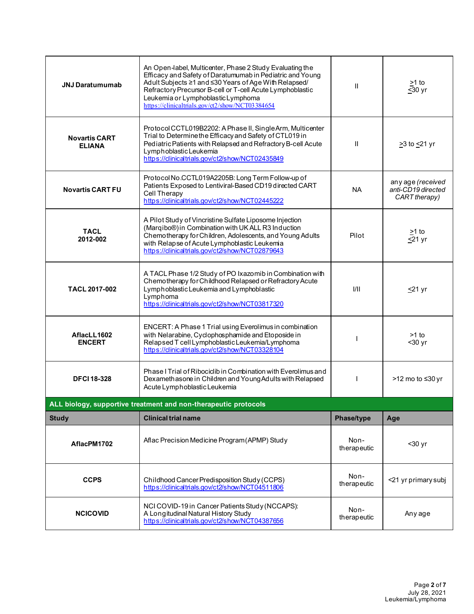| <b>JNJ Daratumumab</b>                                          | An Open-label, Multicenter, Phase 2 Study Evaluating the<br>Efficacy and Safety of Daratumumab in Pediatric and Young<br>Adult Subjects ≥1 and ≤30 Years of Age With Relapsed/<br>Refractory Precursor B-cell or T-cell Acute Lymphoblastic<br>Leukemia or Lymphoblastic Lymphoma<br>https://clinicaltrials.gov/ct2/show/NCT03384654 | $\mathbf{I}$        | $\geq$ 1 to<br>$\overline{\leq}30$ yr                    |  |
|-----------------------------------------------------------------|--------------------------------------------------------------------------------------------------------------------------------------------------------------------------------------------------------------------------------------------------------------------------------------------------------------------------------------|---------------------|----------------------------------------------------------|--|
| <b>Novartis CART</b><br><b>ELIANA</b>                           | Protocol CCTL019B2202: A Phase II, Single Arm, Multicenter<br>Trial to Determine the Efficacy and Safety of CTL019 in<br>Pediatric Patients with Relapsed and Refractory B-cell Acute<br>Lymphoblastic Leukemia<br>https://clinicaltrials.gov/ct2/show/NCT02435849                                                                   | $\mathbf{II}$       | $\geq$ 3 to $\leq$ 21 yr                                 |  |
| <b>Novartis CART FU</b>                                         | Protocol No.CCTL019A2205B: Long Term Follow-up of<br>Patients Exposed to Lentiviral-Based CD19 directed CART<br>Cell Therapy<br>https://clinicaltrials.gov/ct2/show/NCT02445222                                                                                                                                                      | <b>NA</b>           | any age (received<br>anti-CD19 directed<br>CART therapy) |  |
| <b>TACL</b><br>2012-002                                         | A Pilot Study of Vincristine Sulfate Liposome Injection<br>(Marqibo®) in Combination with UK ALL R3 Induction<br>Chemotherapy for Children, Adolescents, and Young Adults<br>with Relapse of Acute Lymphoblastic Leukemia<br>https://clinicaltrials.gov/ct2/show/NCT02879643                                                         | Pilot               | $\geq$ 1 to<br>$\leq$ 21 yr                              |  |
| TACL 2017-002                                                   | A TACL Phase 1/2 Study of PO Ixazomib in Combination with<br>Chemotherapy for Childhood Relapsed or Refractory Acute<br>Lymphoblastic Leukemia and Lymphoblastic<br>Lymphoma<br>https://dinicaltrials.gov/ct2/show/NCT03817320                                                                                                       | 1/11                | $\leq$ 21 yr                                             |  |
| AflacLL1602<br><b>ENCERT</b>                                    | ENCERT: A Phase 1 Trial using Everolimus in combination<br>with Nelarabine, Cyclophosphamide and Etoposide in<br>Relapsed T cell Lymphoblastic Leukemia/Lymphoma<br>https://clinicaltrials.gov/ct2/show/NCT03328104                                                                                                                  |                     | $>1$ to<br>$30$ yr                                       |  |
| <b>DFCI 18-328</b>                                              | Phase I Trial of Ribocidib in Combination with Everolimus and<br>Dexamethasone in Children and Young Adults with Relapsed<br>Acute Lymphoblastic Leukemia                                                                                                                                                                            | $\mathbf{I}$        | >12 mo to ≤30 yr                                         |  |
| ALL biology, supportive treatment and non-therapeutic protocols |                                                                                                                                                                                                                                                                                                                                      |                     |                                                          |  |
| <b>Study</b>                                                    | <b>Clinical trial name</b>                                                                                                                                                                                                                                                                                                           | Phase/type          | Age                                                      |  |
| AflacPM1702                                                     | Aflac Precision Medicine Program (APMP) Study                                                                                                                                                                                                                                                                                        | Non-<br>therapeutic | $30$ yr                                                  |  |
| <b>CCPS</b>                                                     | Childhood Cancer Predisposition Study (CCPS)<br>https://clinicaltrials.gov/ct2/show/NCT04511806                                                                                                                                                                                                                                      | Non-<br>therapeutic | <21 yr primary subj                                      |  |
| <b>NCICOVID</b>                                                 | NCI COVID-19 in Cancer Patients Study (NCCAPS):<br>A Longitudinal Natural History Study<br>https://dinicaltrials.gov/ct2/show/NCT04387656                                                                                                                                                                                            | Non-<br>therapeutic | Any age                                                  |  |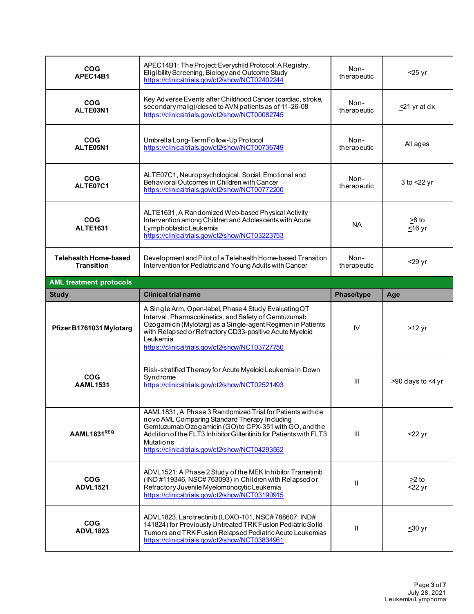| <b>COG</b><br>APEC14B1                     | APEC14B1: The Project: Everychild Protocol: A Registry,<br>Eligibility Screening, Biology and Outcome Study<br>https://clinicaltrials.gov/ct2/show/NCT02402244                                                                                                                                             | Non-<br>therapeutic | $\leq$ 25 yr             |
|--------------------------------------------|------------------------------------------------------------------------------------------------------------------------------------------------------------------------------------------------------------------------------------------------------------------------------------------------------------|---------------------|--------------------------|
| <b>COG</b><br>ALTE03N1                     | Key Adverse Events after Childhood Cancer (cardiac, stroke,<br>secondary malig)/closed to AVN patients as of 11-26-08<br>https://dinicaltrials.gov/ct2/show/NCT00082745                                                                                                                                    | Non-<br>therapeutic | <u>≤</u> 21 yr at dx     |
| <b>COG</b><br>ALTE05N1                     | Umbrella Long-Term Follow-Up Protocol<br>https://clinicaltrials.gov/ct2/show/NCT00736749                                                                                                                                                                                                                   | Non-<br>therapeutic | All ages                 |
| <b>COG</b><br>ALTE07C1                     | ALTE07C1, Neuropsychological, Social, Emotional and<br>Behavioral Outcomes in Children with Cancer<br>https://dinicaltrials.gov/ct2/show/NCT00772200                                                                                                                                                       | Non-<br>therapeutic | $3$ to $<$ 22 yr         |
| <b>COG</b><br><b>ALTE1631</b>              | ALTE1631, A Randomized Web-based Physical Activity<br>Intervention among Children and Adolescents with Acute<br>Lymphoblastic Leukemia<br>https://dinicaltrials.gov/ct2/show/NCT03223753                                                                                                                   | ΝA                  | $>8$ to<br>$≤16$ yr      |
| Telehealth Home-based<br><b>Transition</b> | Development and Pilot of a Telehealth Home-based Transition<br>Intervention for Pediatric and Young Adults with Cancer                                                                                                                                                                                     | Non-<br>therapeutic | $\leq$ 29 yr             |
| <b>AML treatment protocols</b>             |                                                                                                                                                                                                                                                                                                            |                     |                          |
| <b>Study</b>                               | <b>Clinical trial name</b>                                                                                                                                                                                                                                                                                 | Phase/type          | Age                      |
|                                            |                                                                                                                                                                                                                                                                                                            |                     |                          |
| Pfizer B1761031 Mylotarg                   | A Single Arm, Open-label, Phase 4 Study Evaluating QT<br>Interval, Pharmacokinetics, and Safety of Gemtuzumab<br>Ozogamicin (Mylotarg) as a Single-agent Regimen in Patients<br>with Relapsed or Refractory CD33-positive Acute Myeloid<br>Leukemia<br>https://clinicaltrials.gov/ct2/show/NCT03727750     | IV                  | $>12$ yr                 |
| <b>COG</b><br><b>AAML1531</b>              | Risk-stratified Therapy for Acute Myeloid Leukemia in Down<br>Svndrome<br>https://dinicaltrials.gov/ct2/show/NCT02521493                                                                                                                                                                                   | III                 | >90 days to <4 yr        |
| AAML1831REQ                                | AAML1831, A Phase 3 Randomized Trial for Patients with de<br>novo AML Comparing Standard Therapy Including<br>Gemtuzumab Ozogamicin (GO) to CPX-351 with GO, and the<br>Addition of the FLT3 Inhibitor Gilteritinib for Patients with FLT3<br>Mutations<br>https://clinicaltrials.gov/ct2/show/NCT04293562 | III                 | $22$ yr                  |
| <b>COG</b><br><b>ADVL1521</b>              | ADVL1521: A Phase 2 Study of the MEK Inhibitor Trametinib<br>(IND #119346, NSC#763093) in Children with Relapsed or<br>Refractory Juvenile Myelomonocytic Leukemia<br>https://clinicaltrials.gov/ct2/show/NCT03190915                                                                                      | Ш                   | $\geq$ 2 to<br>$<$ 22 yr |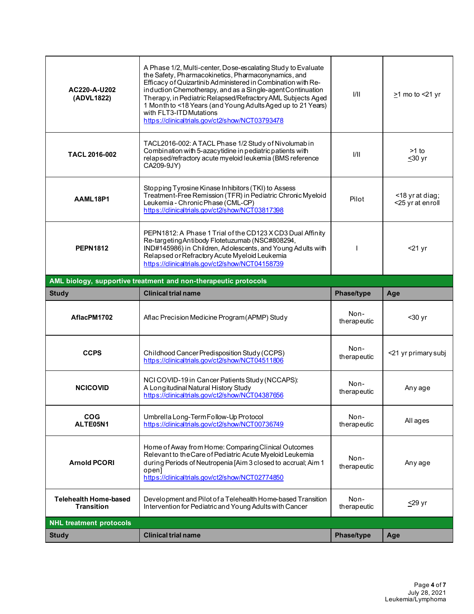| AC220-A-U202<br>(ADVL1822)                        | A Phase 1/2, Multi-center, Dose-escalating Study to Evaluate<br>the Safety, Pharmacokinetics, Pharmaconynamics, and<br>Efficacy of Quizartinib Administered in Combination with Re-<br>induction Chemotherapy, and as a Single-agent Continuation<br>Therapy, in Pediatric Relapsed/Refractory AML Subjects Aged<br>1 Month to <18 Years (and Young Adults Aged up to 21 Years)<br>with FLT3-ITD Mutations<br>https://clinicaltrials.gov/ct2/show/NCT03793478 | 1/11                | $\geq$ 1 mo to <21 yr               |
|---------------------------------------------------|---------------------------------------------------------------------------------------------------------------------------------------------------------------------------------------------------------------------------------------------------------------------------------------------------------------------------------------------------------------------------------------------------------------------------------------------------------------|---------------------|-------------------------------------|
| <b>TACL 2016-002</b>                              | TACL2016-002: A TACL Phase 1/2 Study of Nivolumab in<br>Combination with 5-azacytidine in pediatric patients with<br>relapsed/refractory acute myeloid leukemia (BMS reference<br>CA209-9JY)                                                                                                                                                                                                                                                                  | 1/11                | $>1$ to<br>≤30 yr                   |
| AAML18P1                                          | Stopping Tyrosine Kinase Inhibitors (TKI) to Assess<br>Treatment-Free Remission (TFR) in Pediatric Chronic Myeloid<br>Leukemia - Chronic Phase (CML-CP)<br>https://clinicaltrials.gov/ct2/show/NCT03817398                                                                                                                                                                                                                                                    | Pilot               | <18 yr at diag;<br><25 yr at enroll |
| <b>PEPN1812</b>                                   | PEPN1812: A Phase 1 Trial of the CD123 X CD3 Dual Affinity<br>Re-targeting Antibody Flotetuzumab (NSC#808294,<br>IND#145986) in Children, Adolescents, and Young Adults with<br>Relapsed or Refractory Acute Myeloid Leukemia<br>https://clinicaltrials.gov/ct2/show/NCT04158739                                                                                                                                                                              |                     | $<$ 21 yr                           |
|                                                   | AML biology, supportive treatment and non-therapeutic protocols                                                                                                                                                                                                                                                                                                                                                                                               |                     |                                     |
| <b>Study</b>                                      | <b>Clinical trial name</b>                                                                                                                                                                                                                                                                                                                                                                                                                                    | Phase/type          | Age                                 |
|                                                   |                                                                                                                                                                                                                                                                                                                                                                                                                                                               |                     |                                     |
| AflacPM1702                                       | Aflac Precision Medicine Program (APMP) Study                                                                                                                                                                                                                                                                                                                                                                                                                 | Non-<br>therapeutic | $30 yr$                             |
| <b>CCPS</b>                                       | Childhood Cancer Predisposition Study (CCPS)<br>https://clinicaltrials.gov/ct2/show/NCT04511806                                                                                                                                                                                                                                                                                                                                                               | Non-<br>therapeutic | <21 yr primary subj                 |
| <b>NCICOVID</b>                                   | NCI COVID-19 in Cancer Patients Study (NCCAPS):<br>A Longitudinal Natural History Study<br>https://clinicaltrials.gov/ct2/show/NCT04387656                                                                                                                                                                                                                                                                                                                    | Non-<br>therapeutic | Any age                             |
| <b>COG</b><br>ALTE05N1                            | Umbrella Long-Term Follow-Up Protocol<br>https://clinicaltrials.gov/ct2/show/NCT00736749                                                                                                                                                                                                                                                                                                                                                                      | Non-<br>therapeutic | All ages                            |
| <b>Arnold PCORI</b>                               | Home of Away from Home: Comparing Clinical Outcomes<br>Relevant to the Care of Pediatric Acute Myeloid Leukemia<br>during Periods of Neutropenia [Aim 3 closed to accrual; Aim 1<br>open]<br>https://clinicaltrials.gov/ct2/show/NCT02774850                                                                                                                                                                                                                  | Non-<br>therapeutic | Any age                             |
| <b>Telehealth Home-based</b><br><b>Transition</b> | Development and Pilot of a Telehealth Home-based Transition<br>Intervention for Pediatric and Young Adults with Cancer                                                                                                                                                                                                                                                                                                                                        | Non-<br>therapeutic | ≤29 yr                              |
| <b>NHL treatment protocols</b>                    |                                                                                                                                                                                                                                                                                                                                                                                                                                                               |                     |                                     |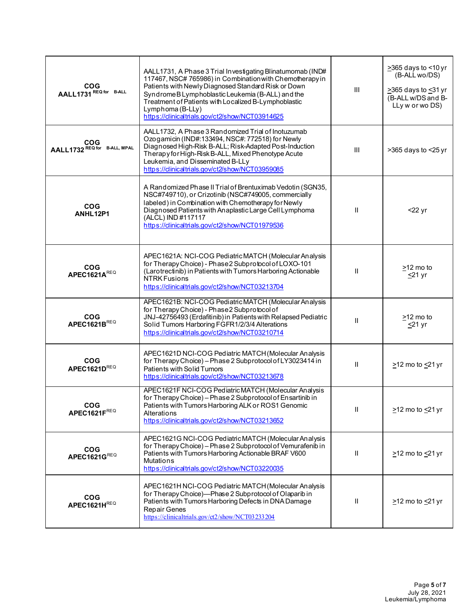| <b>COG</b><br>AALL1731 REQ for B-ALL | AALL1731, A Phase 3 Trial Investigating Blinatumomab (IND#<br>117467, NSC# 765986) in Combination with Chemotherapy in<br>Patients with Newly Diagnosed Standard Risk or Down<br>SyndromeBLymphoblasticLeukemia (B-ALL) and the<br>Treatment of Patients with Localized B-Lymphoblastic<br>Lymphoma (B-LLy)<br>https://clinicaltrials.gov/ct2/show/NCT03914625 | Ш              | $\geq$ 365 days to <10 yr<br>(B-ALL wo/DS)<br>>365 days to <31 yr<br>(B-ALL w/DS and B-<br>LLy w or wo DS) |
|--------------------------------------|----------------------------------------------------------------------------------------------------------------------------------------------------------------------------------------------------------------------------------------------------------------------------------------------------------------------------------------------------------------|----------------|------------------------------------------------------------------------------------------------------------|
| COG<br>AALL1732 REQ for B-ALL, MPAL  | AALL1732, A Phase 3 Randomized Trial of Inotuzumab<br>Ozogamicin (IND#:133494, NSC#: 772518) for Newly<br>Diagnosed High-Risk B-ALL; Risk-Adapted Post-Induction<br>Therapy for High-Risk B-ALL, Mixed Phenotype Acute<br>Leukemia, and Disseminated B-LLy<br>https://clinicaltrials.gov/ct2/show/NCT03959085                                                  | $\mathbf{III}$ | >365 days to <25 yr                                                                                        |
| <b>COG</b><br>ANHL12P1               | A Randomized Phase II Trial of Brentuximab Vedotin (SGN35,<br>NSC#749710), or Crizotinib (NSC#749005, commercially<br>labeled) in Combination with Chemotherapy for Newly<br>Diagnosed Patients with Anaplastic Large Cell Lymphoma<br>(ALCL) IND #117117<br>https://clinicaltrials.gov/ct2/show/NCT01979536                                                   | Ш              | $22$ yr                                                                                                    |
| <b>COG</b><br>APEC1621AREQ           | APEC1621A: NCI-COG Pediatric MATCH (Molecular Analysis<br>for Therapy Choice) - Phase 2 Subprotocol of LOXO-101<br>(Larotrectinib) in Patients with Tumors Harboring Actionable<br><b>NTRK Fusions</b><br>https://clinicaltrials.gov/ct2/show/NCT03213704                                                                                                      | Ш              | >12 mo to<br>$\leq$ 21 yr                                                                                  |
| <b>COG</b><br>APEC1621BREQ           | APEC1621B: NCI-COG Pediatric MATCH (Molecular Analysis<br>for Therapy Choice) - Phase 2 Subprotocol of<br>JNJ-42756493 (Erdafitinib) in Patients with Relapsed Pediatric<br>Solid Tumors Harboring FGFR1/2/3/4 Alterations<br>https://clinicaltrials.gov/ct2/show/NCT03210714                                                                                  | $\mathbf{I}$   | $\geq$ 12 mo to<br><u>&lt;</u> 21 yr                                                                       |
| <b>COG</b><br>APEC1621DREQ           | APEC1621D NCI-COG Pediatric MATCH (Molecular Analysis<br>for Therapy Choice) - Phase 2 Subprotocol of LY3023414 in<br>Patients with Solid Tumors<br>https://clinicaltrials.gov/ct2/show/NCT03213678                                                                                                                                                            | Ш              | $\geq$ 12 mo to $\leq$ 21 yr                                                                               |
| <b>COG</b><br>APEC1621FREQ           | APEC1621F NCI-COG Pediatric MATCH (Molecular Analysis<br>for Therapy Choice) - Phase 2 Subprotocol of Ensartinib in<br>Patients with Tumors Harboring ALK or ROS1 Genomic<br>Alterations<br>https://clinicaltrials.gov/ct2/show/NCT03213652                                                                                                                    | Ш              | $\geq$ 12 mo to $\leq$ 21 yr                                                                               |
| <b>COG</b><br>APEC1621GREQ           | APEC1621G NCI-COG Pediatric MATCH (Molecular Analysis<br>for Therapy Choice) - Phase 2 Subprotocol of Vemurafenib in<br>Patients with Tumors Harboring Actionable BRAF V600<br>Mutations<br>https://clinicaltrials.gov/ct2/show/NCT03220035                                                                                                                    | Ш              | $\geq$ 12 mo to $\leq$ 21 yr                                                                               |
| <b>COG</b><br>APEC1621HREQ           | APEC1621H NCI-COG Pediatric MATCH (Molecular Analysis<br>for Therapy Choice)-Phase 2 Subprotocol of Olaparib in<br>Patients with Tumors Harboring Defects in DNA Damage<br>Repair Genes<br>https://clinicaltrials.gov/ct2/show/NCT03233204                                                                                                                     | Ш              | $\geq$ 12 mo to $\leq$ 21 yr                                                                               |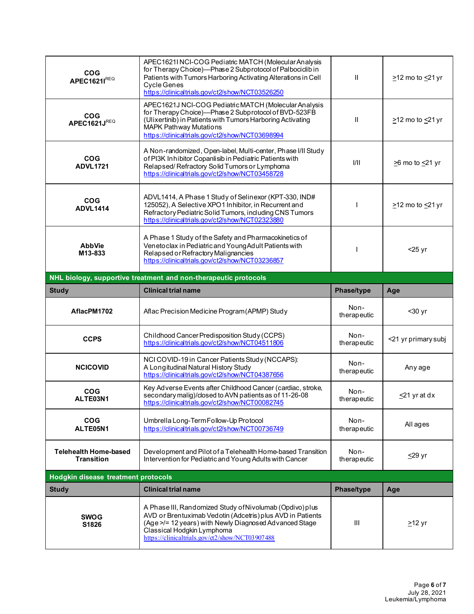| <b>COG</b><br>APEC16211REQ                        | APEC1621I NCI-COG Pediatric MATCH (Molecular Analysis<br>for Therapy Choice)-Phase 2 Subprotocol of Palbociclib in<br>Patients with Tumors Harboring Activating Alterations in Cell<br><b>Cycle Genes</b><br>https://clinicaltrials.gov/ct2/show/NCT03526250   | Ш                   | $\geq$ 12 mo to $\leq$ 21 yr |
|---------------------------------------------------|----------------------------------------------------------------------------------------------------------------------------------------------------------------------------------------------------------------------------------------------------------------|---------------------|------------------------------|
| <b>COG</b><br>APEC1621JREQ                        | APEC1621J NCI-COG Pediatric MATCH (Molecular Analysis<br>for Therapy Choice)-Phase 2 Subprotocol of BVD-523FB<br>(Ulixertinib) in Patients with Tumors Harboring Activating<br><b>MAPK Pathway Mutations</b><br>https://dinicaltrials.gov/ct2/show/NCT03698994 | Ш                   | $\geq$ 12 mo to $\leq$ 21 yr |
| <b>COG</b><br><b>ADVL1721</b>                     | A Non-randomized, Open-label, Multi-center, Phase I/II Study<br>of PI3K Inhibitor Copanlisib in Pediatric Patients with<br>Relapsed/Refractory Solid Tumors or Lymphoma<br>https://clinicaltrials.gov/ct2/show/NCT03458728                                     | 1/11                | $\geq$ 6 mo to $\leq$ 21 yr  |
| <b>COG</b><br><b>ADVL1414</b>                     | ADVL1414, A Phase 1 Study of Selinexor (KPT-330, IND#<br>125052), A Selective XPO1 In hibitor, in Recurrent and<br>Refractory Pediatric Solid Tumors, including CNS Tumors<br>https://clinicaltrials.gov/ct2/show/NCT02323880                                  |                     | $\geq$ 12 mo to $\leq$ 21 yr |
| <b>AbbVie</b><br>M13-833                          | A Phase 1 Study of the Safety and Pharmacokinetics of<br>Venetoclax in Pediatric and Young Adult Patients with<br>Relapsed or Refractory Malignancies<br>https://clinicaltrials.gov/ct2/show/NCT03236857                                                       |                     | $<$ 25 yr                    |
|                                                   | NHL biology, supportive treatment and non-therapeutic protocols                                                                                                                                                                                                |                     |                              |
| <b>Study</b>                                      | <b>Clinical trial name</b>                                                                                                                                                                                                                                     | Phase/type          | Age                          |
|                                                   |                                                                                                                                                                                                                                                                |                     |                              |
| AflacPM1702                                       | Aflac Precision Medicine Program (APMP) Study                                                                                                                                                                                                                  | Non-<br>therapeutic | $30 yr$                      |
| <b>CCPS</b>                                       | Childhood Cancer Predisposition Study (CCPS)<br>https://clinicaltrials.gov/ct2/show/NCT04511806                                                                                                                                                                | Non-<br>therapeutic | <21 yr primary subj          |
| <b>NCICOVID</b>                                   | NCI COVID-19 in Cancer Patients Study (NCCAPS):<br>A Longitudinal Natural History Study<br>https://dinicaltrials.gov/ct2/show/NCT04387656                                                                                                                      | Non-<br>therapeutic | Any age                      |
| <b>COG</b><br>ALTE03N1                            | Key Adverse Events after Childhood Cancer (cardiac, stroke,<br>secondary malig)/closed to AVN patients as of 11-26-08<br>https://clinicaltrials.gov/ct2/show/NCT00082745                                                                                       | Non-<br>therapeutic | $\leq$ 21 yr at dx           |
| <b>COG</b><br>ALTE05N1                            | Umbrella Long-Term Follow-Up Protocol<br>https://clinicaltrials.gov/ct2/show/NCT00736749                                                                                                                                                                       | Non-<br>therapeutic | All ages                     |
| <b>Telehealth Home-based</b><br><b>Transition</b> | Development and Pilot of a Telehealth Home-based Transition<br>Intervention for Pediatric and Young Adults with Cancer                                                                                                                                         | Non-<br>therapeutic | $\leq$ 29 yr                 |
| Hodgkin disease treatment protocols               |                                                                                                                                                                                                                                                                |                     |                              |
| <b>Study</b>                                      | <b>Clinical trial name</b>                                                                                                                                                                                                                                     | <b>Phase/type</b>   | Age                          |